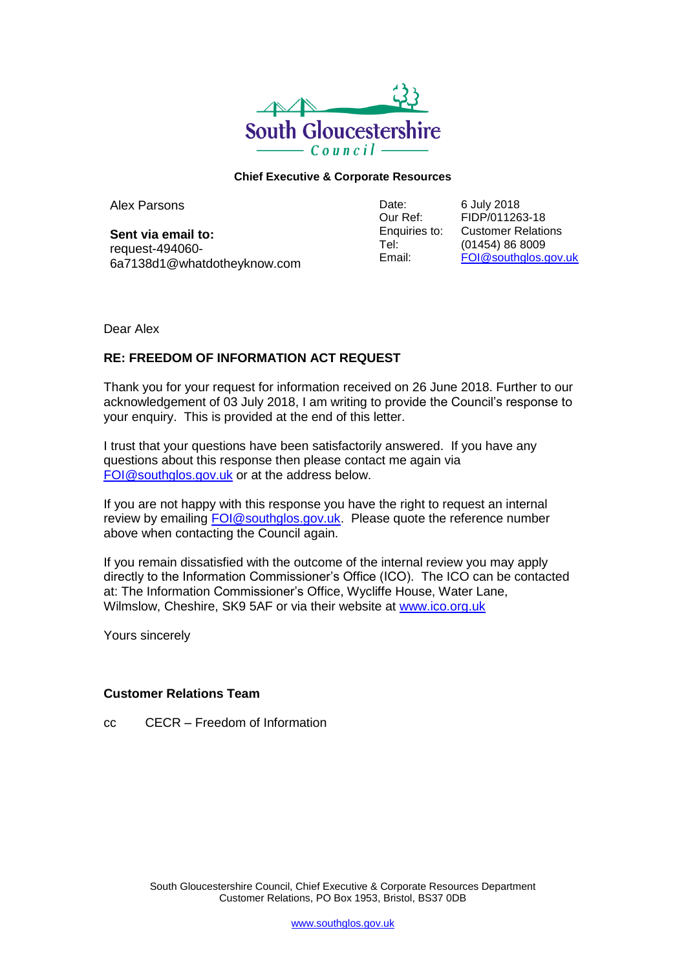

## **Chief Executive & Corporate Resources**

Alex Parsons

**Sent via email to:** request-494060- 6a7138d1@whatdotheyknow.com Date: Our Ref: Enquiries to: Tel: Email:

6 July 2018 FIDP/011263-18 Customer Relations (01454) 86 8009 [FOI@southglos.gov.uk](mailto:xxx@xxxxxxxxx.xxx.xx)

Dear Alex

## **RE: FREEDOM OF INFORMATION ACT REQUEST**

Thank you for your request for information received on 26 June 2018. Further to our acknowledgement of 03 July 2018, I am writing to provide the Council's response to your enquiry. This is provided at the end of this letter.

I trust that your questions have been satisfactorily answered. If you have any questions about this response then please contact me again via [FOI@southglos.gov.uk](mailto:xxx@xxxxxxxxx.xxx.xx) or at the address below.

If you are not happy with this response you have the right to request an internal review by emailing **FOI@southglos.gov.uk.** Please quote the reference number above when contacting the Council again.

If you remain dissatisfied with the outcome of the internal review you may apply directly to the Information Commissioner's Office (ICO). The ICO can be contacted at: The Information Commissioner's Office, Wycliffe House, Water Lane, Wilmslow, Cheshire, SK9 5AF or via their website at [www.ico.org.uk](http://www.ico.org.uk/)

Yours sincerely

## **Customer Relations Team**

cc CECR – Freedom of Information